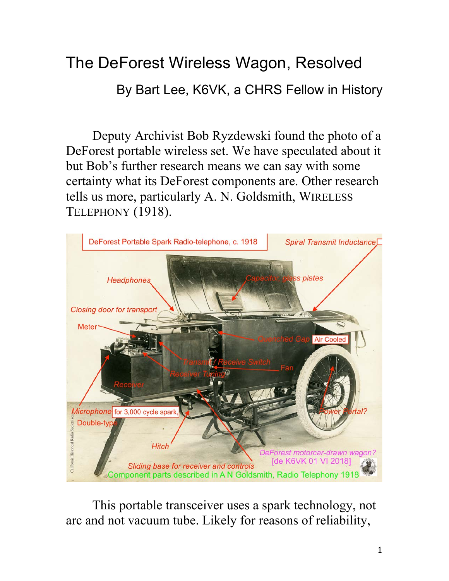## The DeForest Wireless Wagon, Resolved

By Bart Lee, K6VK, a CHRS Fellow in History

Deputy Archivist Bob Ryzdewski found the photo of a DeForest portable wireless set. We have speculated about it but Bob's further research means we can say with some certainty what its DeForest components are. Other research tells us more, particularly A. N. Goldsmith, WIRELESS TELEPHONY (1918).



This portable transceiver uses a spark technology, not arc and not vacuum tube. Likely for reasons of reliability,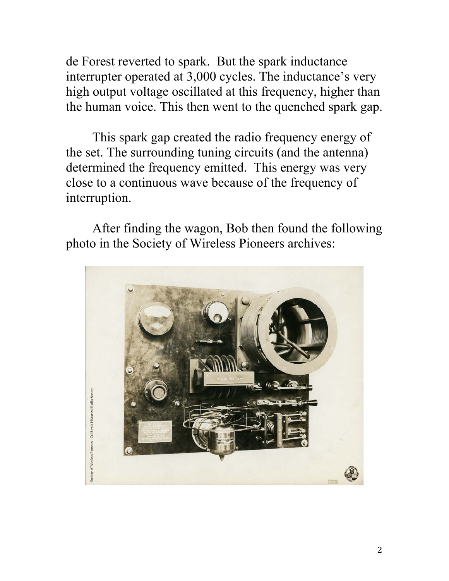de Forest reverted to spark. But the spark inductance interrupter operated at 3,000 cycles. The inductance's very high output voltage oscillated at this frequency, higher than the human voice. This then went to the quenched spark gap.

This spark gap created the radio frequency energy of the set. The surrounding tuning circuits (and the antenna) determined the frequency emitted. This energy was very close to a continuous wave because of the frequency of interruption.

After finding the wagon, Bob then found the following photo in the Society of Wireless Pioneers archives:

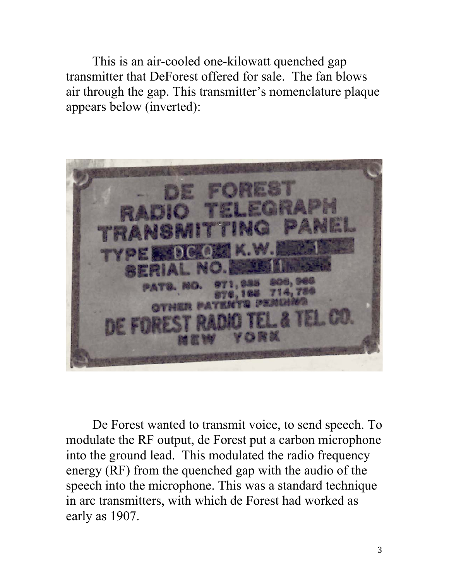This is an air-cooled one-kilowatt quenched gap transmitter that DeForest offered for sale. The fan blows air through the gap. This transmitter's nomenclature plaque appears below (inverted):



De Forest wanted to transmit voice, to send speech. To modulate the RF output, de Forest put a carbon microphone into the ground lead. This modulated the radio frequency energy (RF) from the quenched gap with the audio of the speech into the microphone. This was a standard technique in arc transmitters, with which de Forest had worked as early as 1907.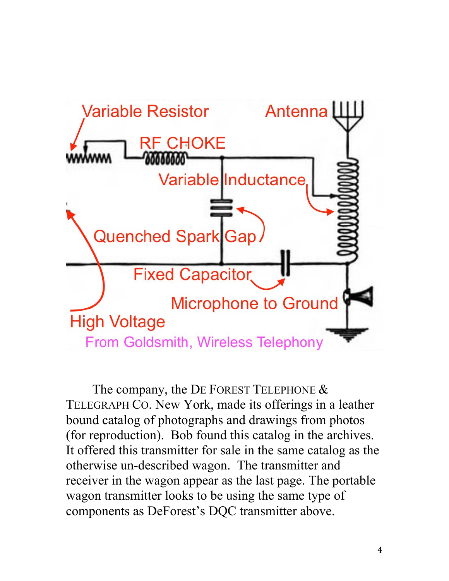

The company, the DE FOREST TELEPHONE & TELEGRAPH CO. New York, made its offerings in a leather bound catalog of photographs and drawings from photos (for reproduction). Bob found this catalog in the archives. It offered this transmitter for sale in the same catalog as the otherwise un-described wagon. The transmitter and receiver in the wagon appear as the last page. The portable wagon transmitter looks to be using the same type of components as DeForest's DQC transmitter above.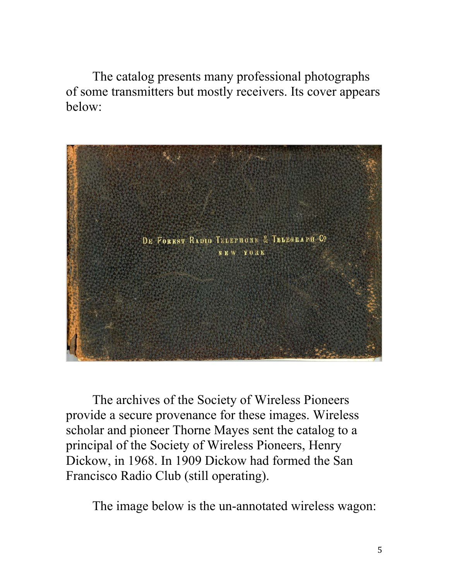The catalog presents many professional photographs of some transmitters but mostly receivers. Its cover appears below:



The archives of the Society of Wireless Pioneers provide a secure provenance for these images. Wireless scholar and pioneer Thorne Mayes sent the catalog to a principal of the Society of Wireless Pioneers, Henry Dickow, in 1968. In 1909 Dickow had formed the San Francisco Radio Club (still operating).

The image below is the un-annotated wireless wagon: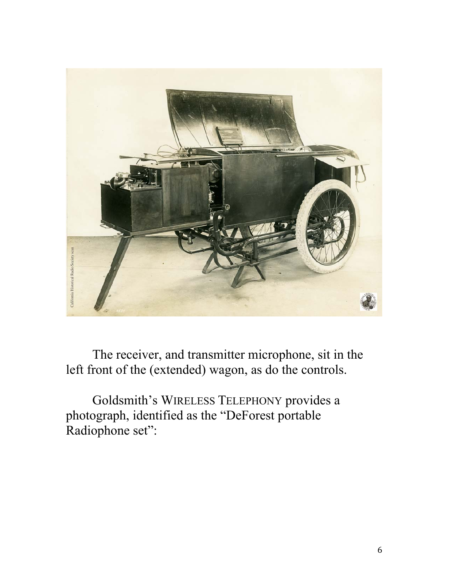

The receiver, and transmitter microphone, sit in the left front of the (extended) wagon, as do the controls.

Goldsmith's WIRELESS TELEPHONY provides a photograph, identified as the "DeForest portable Radiophone set":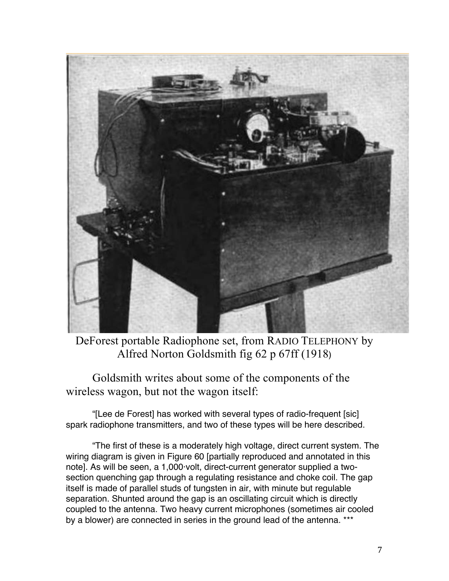

DeForest portable Radiophone set, from RADIO TELEPHONY by Alfred Norton Goldsmith fig 62 p 67ff (1918)

Goldsmith writes about some of the components of the wireless wagon, but not the wagon itself:

"[Lee de Forest] has worked with several types of radio-frequent [sic] spark radiophone transmitters, and two of these types will be here described.

"The first of these is a moderately high voltage, direct current system. The wiring diagram is given in Figure 60 [partially reproduced and annotated in this note]. As will be seen, a 1,000·volt, direct-current generator supplied a twosection quenching gap through a regulating resistance and choke coil. The gap itself is made of parallel studs of tungsten in air, with minute but regulable separation. Shunted around the gap is an oscillating circuit which is directly coupled to the antenna. Two heavy current microphones (sometimes air cooled by a blower) are connected in series in the ground lead of the antenna. \*\*\*